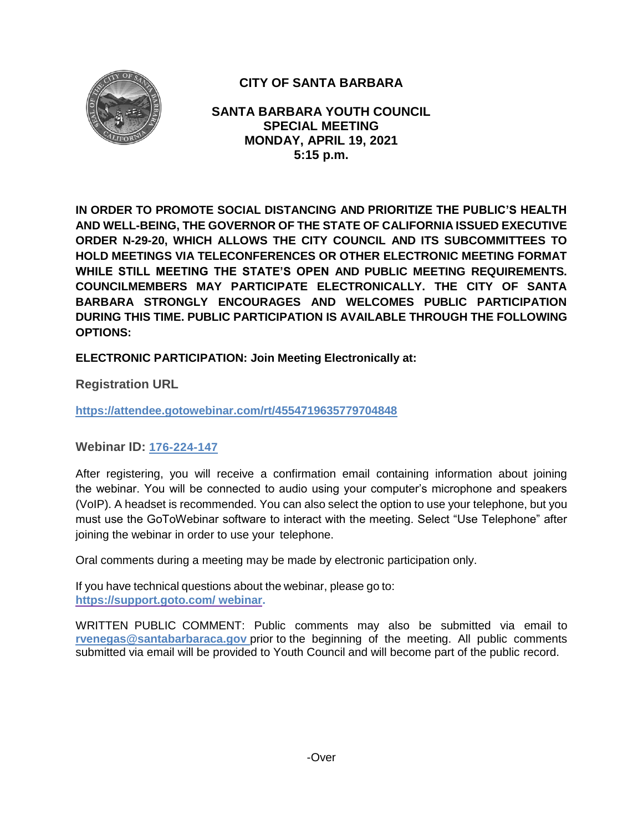

# **CITY OF SANTA BARBARA**

**SANTA BARBARA YOUTH COUNCIL SPECIAL MEETING MONDAY, APRIL 19, 2021 5:15 p.m.**

**IN ORDER TO PROMOTE SOCIAL DISTANCING AND PRIORITIZE THE PUBLIC'S HEALTH AND WELL-BEING, THE GOVERNOR OF THE STATE OF CALIFORNIA ISSUED EXECUTIVE ORDER N-29-20, WHICH ALLOWS THE CITY COUNCIL AND ITS SUBCOMMITTEES TO HOLD MEETINGS VIA TELECONFERENCES OR OTHER ELECTRONIC MEETING FORMAT WHILE STILL MEETING THE STATE'S OPEN AND PUBLIC MEETING REQUIREMENTS. COUNCILMEMBERS MAY PARTICIPATE ELECTRONICALLY. THE CITY OF SANTA BARBARA STRONGLY ENCOURAGES AND WELCOMES PUBLIC PARTICIPATION DURING THIS TIME. PUBLIC PARTICIPATION IS AVAILABLE THROUGH THE FOLLOWING OPTIONS:**

**ELECTRONIC PARTICIPATION: Join Meeting Electronically at:** 

**Registration URL** 

**https://attendee.gotowebinar.com/rt/4554719635779704848**

**Webinar ID: 176-224-147**

After registering, you will receive a confirmation email containing information about joining the webinar. You will be connected to audio using your computer's microphone and speakers (VoIP). A headset is recommended. You can also select the option to use your telephone, but you must use the GoToWebinar software to interact with the meeting. Select "Use Telephone" after joining the webinar in order to use your telephone.

Oral comments during a meeting may be made by electronic participation only.

If you have technical questions about the webinar, please go to: **https://support.goto.com/ webinar.**

[WRITTEN PUBLIC COMMENT:](mailto:rvenegas@santabarbaraca.gov) Public comments may also be submitted via email to **[rvenegas@santabarbaraca.gov](mailto:rvenegas@santabarbaraca.gov)** prior to the beginning of the meeting. All public comments submitted via email will be provided to Youth Council and will become part of the public record.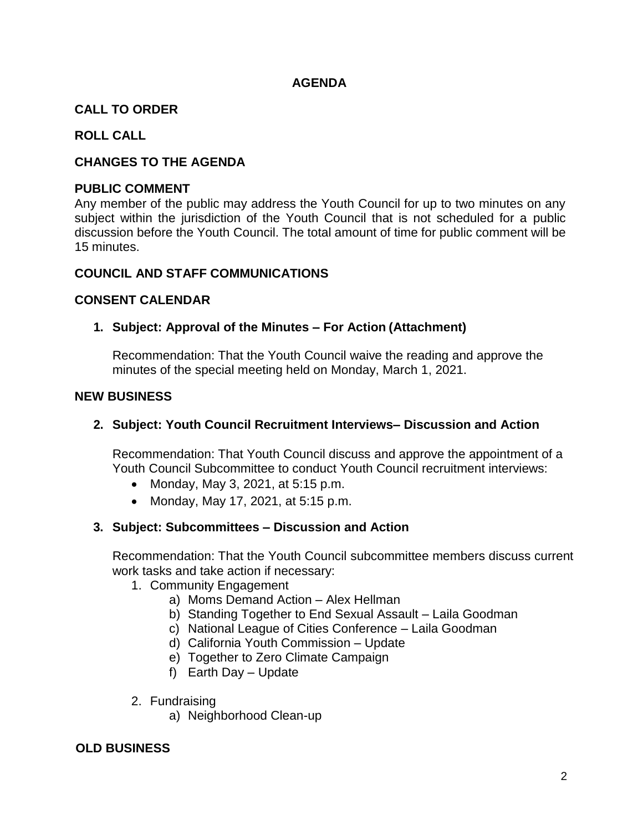### **AGENDA**

## **CALL TO ORDER**

### **ROLL CALL**

### **CHANGES TO THE AGENDA**

#### **PUBLIC COMMENT**

Any member of the public may address the Youth Council for up to two minutes on any subject within the jurisdiction of the Youth Council that is not scheduled for a public discussion before the Youth Council. The total amount of time for public comment will be 15 minutes.

#### **COUNCIL AND STAFF COMMUNICATIONS**

#### **CONSENT CALENDAR**

#### **1. Subject: Approval of the Minutes – For Action (Attachment)**

Recommendation: That the Youth Council waive the reading and approve the minutes of the special meeting held on Monday, March 1, 2021.

#### **NEW BUSINESS**

#### **2. Subject: Youth Council Recruitment Interviews– Discussion and Action**

Recommendation: That Youth Council discuss and approve the appointment of a Youth Council Subcommittee to conduct Youth Council recruitment interviews:

- Monday, May 3, 2021, at 5:15 p.m.
- Monday, May 17, 2021, at  $5:15$  p.m.

#### **3. Subject: Subcommittees – Discussion and Action**

Recommendation: That the Youth Council subcommittee members discuss current work tasks and take action if necessary:

- 1. Community Engagement
	- a) Moms Demand Action Alex Hellman
	- b) Standing Together to End Sexual Assault Laila Goodman
	- c) National League of Cities Conference Laila Goodman
	- d) California Youth Commission Update
	- e) Together to Zero Climate Campaign
	- f) Earth Day Update
- 2. Fundraising
	- a) Neighborhood Clean-up

#### **OLD BUSINESS**